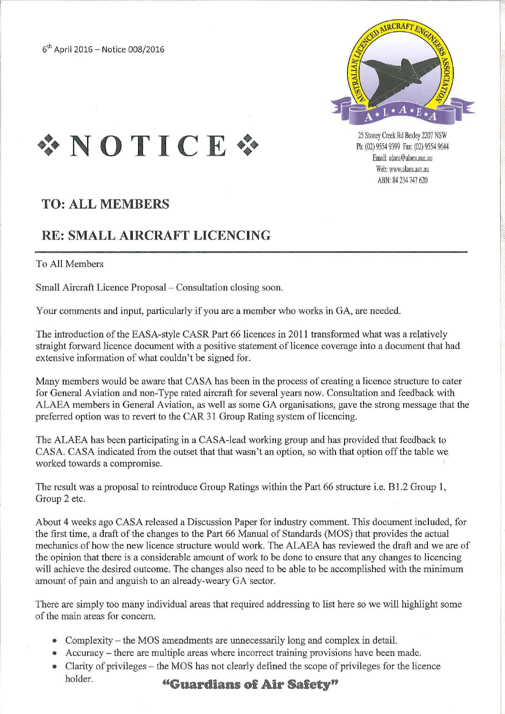$6^{th}$  April 2016 - Notice 008/2016



25 Stoney Creek Rd Bexley 2207 NSW Ph: (02) 9554 9399 Fax: (02) 9554 9644 Email: alaea@alaea.asn.au Web: www.alaea.asn.au ABN: 84 234 747 620



# **TO: ALL MEMBERS**

# **RE: SMALL AIRCRAFT LICENCING**

To All Members

Small Aircraft Licence Proposal – Consultation closing soon.

Your comments and input, particularly if you are a member who works in GA, are needed.

The introduction of the EASA-style CASR Part 66 licences in 2011 transformed what was a relatively straight forward licence document with a positive statement of licence coverage into a document that had extensive information of what couldn't be signed for.

Many members would be aware that CASA has been in the process of creating a licence structure to cater for General Aviation and non-Type rated aircraft for several years now. Consultation and feedback with ALAEA members in General Aviation, as well as some GA organisations, gave the strong message that the preferred option was to revert to the CAR 31 Group Rating system of licencing.

The ALAEA has been participating in a CASA-lead working group and has provided that feedback to CASA. CASA indicated from the outset that that wasn't an option, so with that option off the table we worked towards a compromise.

The result was a proposal to reintroduce Group Ratings within the Part 66 structure i.e. B1.2 Group 1, Group 2 etc.

About 4 weeks ago CASA released a Discussion Paper for industry comment. This document included, for the first time, a draft of the changes to the Part 66 Manual of Standards (MOS) that provides the actual mechanics of how the new licence structure would work. The ALAEA has reviewed the draft and we are of the opinion that there is a considerable amount of work to be done to ensure that any changes to licencing will achieve the desired outcome. The changes also need to be able to be accomplished with the minimum amount of pain and anguish to an already-weary GA sector.

There are simply too many individual areas that required addressing to list here so we will highlight some of the main areas for concern.

- Complexity the MOS amendments are unnecessarily long and complex in detail.
- Accuracy there are multiple areas where incorrect training provisions have been made.
- Clarity of privileges the MOS has not clearly defined the scope of privileges for the licence holder. **"Guardians of Air Safety"**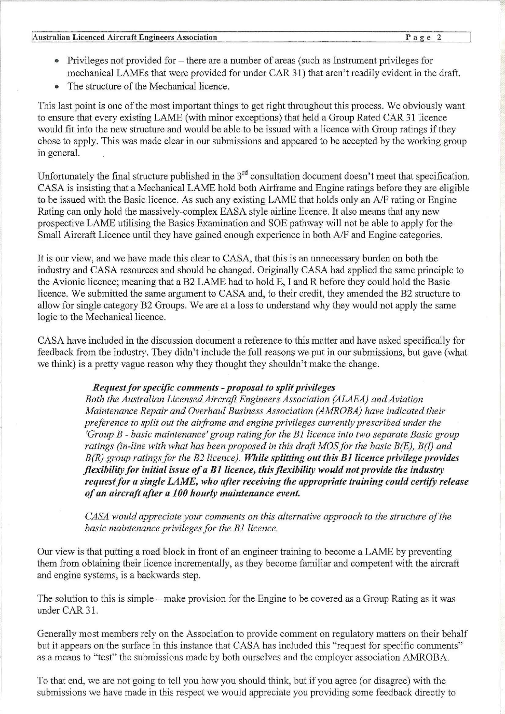### **(Australian Licenced Aircraft Engineers Association** P a g e 2

[,

- Privileges not provided for there are a number of areas (such as Instrument privileges for mechanical LAMEs that were provided for under CAR 31) that aren't readily evident in the draft.
- The structure of the Mechanical licence.

This last point is one of the most important things to get right throughout this process. We obviously want to ensure that every existing LAME (with minor exceptions) that held a Group Rated CAR 31 licence would fit into the new structure and would be able to be issued with a licence with Group ratings if they chose to apply. This was made clear in our submissions and appeared to be accepted by the working group in general.

Unfortunately the final structure published in the  $3<sup>rd</sup>$  consultation document doesn't meet that specification. CASA is insisting that a Mechanical LAME hold both Airframe and Engine ratings before they are eligible to be issued with the Basic licence. As such any existing LAME that holds only an AlF rating or Engine Rating can only hold the massively-complex EASA style airline licence, It also means that any new prospective LAME utilising the Basics Examination and SOE pathway will not be able to apply for the Small Aircraft Licence until they have gained enough experience in both AlF and Engine categories.

It is our view, and we have made this clear to CASA, that this is an unnecessary burden on both the industry and CASA resources and should be changed. Originally CASA had applied the same principle to the Avionic licence; meaning that a B2 LAME had to hold E, I and R before they could hold the Basic licence. We submitted the same argument to CASA and, to their credit, they amended the B2 structure to allow for single category B2 Groups. We are at a loss to understand why they would not apply the same logic to the Mechanical licence.

CASA have included in the discussion document a reference to this matter and have asked specifically for feedback from the industry. They didn't include the full reasons we put in our submissions, but gave (what we think) is a pretty vague reason why they thought they shouldn't make the change.

## *Request for specific comments* - *proposal to split privileges*

*Both the Australian Licensed Aircraft Engineers Association (ALAEA) and Aviation Maintenance Repair and Overhaul Business Association (AMROBA) have indicated their preference to split out the airframe and engine privileges currently prescribed under the 'Group B* - *basic maintenance' group rating for the BJ licence into two separate Basic group ratings (in-line with what has been proposed in this draft MOS for the basic B(E), B(I) and B(R) group ratings jar the B2licence). While splitting out this Bllicence privilege provides flexibility for initial issue of a Bl licence, this flexibility would not provide the industry request for a single LAME, who after receiving the appropriate training could certify release of an aircraft after a 100 hourly maintenance event.* 

*CASA would appreciate your comments on this alternative approach to the structure of the basic maintenance privileges for the BJ licence.* 

Our view is that putting a road block in front of an engineer training to become a LAME by preventing them from obtaining their licence incrementally, as they become familiar and competent with the aircraft and engine systems, is a backwards step.

The solution to this is simple – make provision for the Engine to be covered as a Group Rating as it was under CAR 31.

Generally most members rely on the Association to provide comment on regulatory matters on their behalf but it appears on the surface in this instance that CASA has included this "request for specific comments" as a means to "test" the submissions made by both ourselves and the employer association AMROBA.

To that end, we are not going to tell you how you should think, but if you agree (or disagree) with the submissions we have made in this respect we would appreciate you providing some feedback directly to